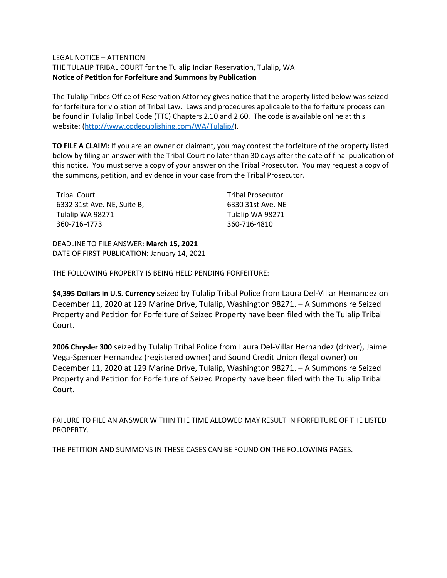#### LEGAL NOTICE – ATTENTION

THE TULALIP TRIBAL COURT for the Tulalip Indian Reservation, Tulalip, WA **Notice of Petition for Forfeiture and Summons by Publication**

The Tulalip Tribes Office of Reservation Attorney gives notice that the property listed below was seized for forfeiture for violation of Tribal Law. Laws and procedures applicable to the forfeiture process can be found in Tulalip Tribal Code (TTC) Chapters 2.10 and 2.60. The code is available online at this website: [\(http://www.codepublishing.com/WA/Tulalip/\)](http://www.codepublishing.com/WA/Tulalip/).

**TO FILE A CLAIM:** If you are an owner or claimant, you may contest the forfeiture of the property listed below by filing an answer with the Tribal Court no later than 30 days after the date of final publication of this notice. You must serve a copy of your answer on the Tribal Prosecutor. You may request a copy of the summons, petition, and evidence in your case from the Tribal Prosecutor.

| Tribal Court                | <b>Tribal Prosecutor</b> |
|-----------------------------|--------------------------|
| 6332 31st Ave. NE, Suite B, | 6330 31st Ave. NE        |
| Tulalip WA 98271            | Tulalip WA 98271         |
| 360-716-4773                | 360-716-4810             |

DEADLINE TO FILE ANSWER: **March 15, 2021** DATE OF FIRST PUBLICATION: January 14, 2021

THE FOLLOWING PROPERTY IS BEING HELD PENDING FORFEITURE:

**\$4,395 Dollars in U.S. Currency** seized by Tulalip Tribal Police from Laura Del-Villar Hernandez on December 11, 2020 at 129 Marine Drive, Tulalip, Washington 98271. – A Summons re Seized Property and Petition for Forfeiture of Seized Property have been filed with the Tulalip Tribal Court.

**2006 Chrysler 300** seized by Tulalip Tribal Police from Laura Del-Villar Hernandez (driver), Jaime Vega-Spencer Hernandez (registered owner) and Sound Credit Union (legal owner) on December 11, 2020 at 129 Marine Drive, Tulalip, Washington 98271. – A Summons re Seized Property and Petition for Forfeiture of Seized Property have been filed with the Tulalip Tribal Court.

FAILURE TO FILE AN ANSWER WITHIN THE TIME ALLOWED MAY RESULT IN FORFEITURE OF THE LISTED PROPERTY.

THE PETITION AND SUMMONS IN THESE CASES CAN BE FOUND ON THE FOLLOWING PAGES.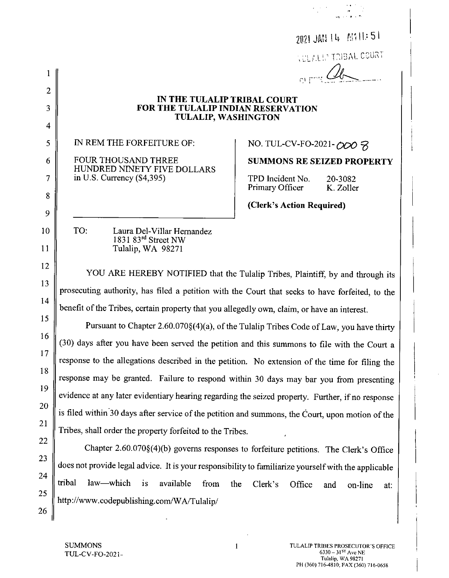|                |                                                                                                                                                                                   | 2021 JAN 14 MILL: 51                                                                  |  |
|----------------|-----------------------------------------------------------------------------------------------------------------------------------------------------------------------------------|---------------------------------------------------------------------------------------|--|
|                |                                                                                                                                                                                   | <b><i>AULALLY TRIBAL COURT</i></b>                                                    |  |
| 1              |                                                                                                                                                                                   |                                                                                       |  |
| $\overline{c}$ |                                                                                                                                                                                   |                                                                                       |  |
| 3              | IN THE TULALIP TRIBAL COURT<br>FOR THE TULALIP INDIAN RESERVATION<br><b>TULALIP, WASHINGTON</b>                                                                                   |                                                                                       |  |
| 4              |                                                                                                                                                                                   |                                                                                       |  |
| 5              | IN REM THE FORFEITURE OF:                                                                                                                                                         | NO. TUL-CV-FO-2021-000 8                                                              |  |
| 6              | <b>FOUR THOUSAND THREE</b><br>HUNDRED NINETY FIVE DOLLARS<br>in U.S. Currency $(\$4,395)$                                                                                         | <b>SUMMONS RE SEIZED PROPERTY</b>                                                     |  |
| 7              |                                                                                                                                                                                   | TPD Incident No.<br>20-3082<br>Primary Officer<br>K. Zoller                           |  |
| 8              |                                                                                                                                                                                   | (Clerk's Action Required)                                                             |  |
| 9              |                                                                                                                                                                                   |                                                                                       |  |
| 10             | TO:<br>Laura Del-Villar Hernandez<br>1831 83rd Street NW                                                                                                                          |                                                                                       |  |
| 11             | Tulalip, WA 98271                                                                                                                                                                 |                                                                                       |  |
| 12             |                                                                                                                                                                                   |                                                                                       |  |
| 13             | YOU ARE HEREBY NOTIFIED that the Tulalip Tribes, Plaintiff, by and through its<br>prosecuting authority, has filed a petition with the Court that seeks to have forfeited, to the |                                                                                       |  |
| 14             |                                                                                                                                                                                   |                                                                                       |  |
| 15             | benefit of the Tribes, certain property that you allegedly own, claim, or have an interest.                                                                                       |                                                                                       |  |
| 16             | Pursuant to Chapter 2.60.070§(4)(a), of the Tulalip Tribes Code of Law, you have thirty                                                                                           |                                                                                       |  |
| 17             | (30) days after you have been served the petition and this summons to file with the Court a                                                                                       |                                                                                       |  |
|                | response to the allegations described in the petition. No extension of the time for filing the                                                                                    |                                                                                       |  |
| 18             | response may be granted. Failure to respond within 30 days may bar you from presenting                                                                                            |                                                                                       |  |
| 19             | evidence at any later evidentiary hearing regarding the seized property. Further, if no response                                                                                  |                                                                                       |  |
| 20             | is filed within 30 days after service of the petition and summons, the Court, upon motion of the                                                                                  |                                                                                       |  |
| 21             | Tribes, shall order the property forfeited to the Tribes.                                                                                                                         |                                                                                       |  |
| 22             |                                                                                                                                                                                   | Chapter 2.60.070§(4)(b) governs responses to forfeiture petitions. The Clerk's Office |  |
| 23             | does not provide legal advice. It is your responsibility to familiarize yourself with the applicable                                                                              |                                                                                       |  |
| 24             | tribal<br>law-which<br>1S<br>available<br>from<br>the                                                                                                                             | Clerk's<br>Office                                                                     |  |
| 25             | http://www.codepublishing.com/WA/Tulalip/                                                                                                                                         | on-line<br>and<br>at:                                                                 |  |
| 26             |                                                                                                                                                                                   |                                                                                       |  |

ری کا محل<br>کرنامجوانی از کار کردن<br>ک<del>رنام افراد روس</del>

 $\mathbf{1}$ 

 $\sim$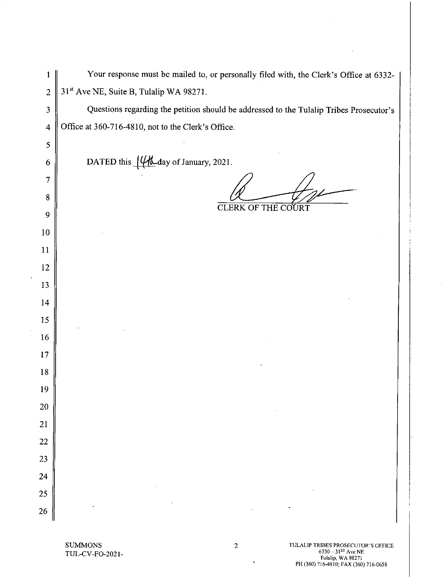| 1               | Your response must be mailed to, or personally filed with, the Clerk's Office at 6332-  |
|-----------------|-----------------------------------------------------------------------------------------|
| $\overline{2}$  | 31st Ave NE, Suite B, Tulalip WA 98271.                                                 |
| $\mathfrak{Z}$  | Questions regarding the petition should be addressed to the Tulalip Tribes Prosecutor's |
| $\overline{4}$  | Office at 360-716-4810, not to the Clerk's Office.                                      |
| $\mathfrak s$   |                                                                                         |
| 6               | DATED this $\frac{1}{4}$ day of January, 2021.                                          |
| $\overline{7}$  |                                                                                         |
| $8\,$           |                                                                                         |
| 9               | <b>CLERK OF THE COURT</b>                                                               |
| 10 <sub>1</sub> |                                                                                         |
| 11              |                                                                                         |
| 12              |                                                                                         |
| 13              |                                                                                         |
| 14              |                                                                                         |
| 15              |                                                                                         |
| 16              |                                                                                         |
| 17              |                                                                                         |
| 18              |                                                                                         |
| 19              |                                                                                         |
| $20\,$          |                                                                                         |
| 21              |                                                                                         |
| 22              |                                                                                         |
| 23              |                                                                                         |
| 24              |                                                                                         |
| 25              |                                                                                         |
| 26              |                                                                                         |

### **SUMMONS** TUL-CV-FO-2021-

 $\sim$ 

 $\bar{z}$ 

 $\bar{z}$ 

 $\mathcal{L}^{\pm}$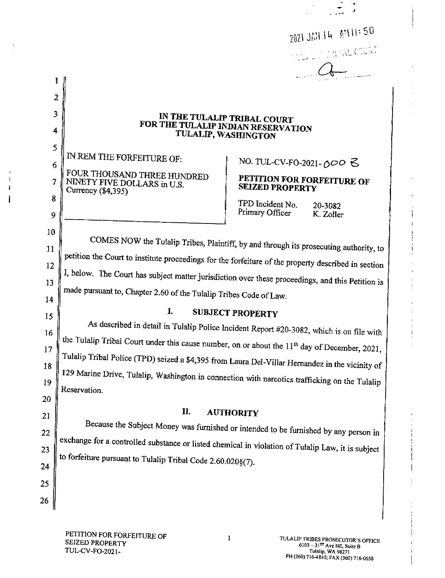2021 JAN 14 AM 11:50 **A FINAL COUNT** 

# IN THE TULALIP TRIBAL COURT FOR THE TULALIP INDIAN RESERVATION TULALIP, WASHINGTON

IN REM THE FORFEITURE OF: FOUR THOUSAND THREE HUNDRED NINETY FIVE DOLLARS in U.S. Currency (\$4,395)

NO. TUL-CV-FO-2021-000 ろ

## PETITION FOR FORFEITURE OF **SEIZED PROPERTY**

TPD Incident No. 20-3082 Primary Officer K. Zoller

COMES NOW the Tulalip Tribes, Plaintiff, by and through its prosecuting authority, to petition the Court to institute proceedings for the forfeiture of the property described in section I, below. The Court has subject matter jurisdiction over these proceedings, and this Petition is made pursuant to, Chapter 2.60 of the Tulalip Tribes Code of Law.

14 15

16

17

18

19

20

21

22

23

24

25

26

ı

 $\overline{2}$ 

3

4

5

6

7

8

9

10

11

12

13

# **SUBJECT PROPERTY**

I.

As described in detail in Tulalip Police Incident Report #20-3082, which is on file with the Tulalip Tribal Court under this cause number, on or about the 11<sup>th</sup> day of December, 2021, Tulalip Tribal Police (TPD) seized a \$4,395 from Laura Del-Villar Hernandez in the vicinity of 129 Marine Drive, Tulalip, Washington in connection with narcotics trafficking on the Tulalip Reservation

#### II. **AUTHORITY**

Because the Subject Money was furnished or intended to be furnished by any person in exchange for a controlled substance or listed chemical in violation of Tulalip Law, it is subject to forfeiture pursuant to Tulalip Tribal Code 2.60.020§(7).

 $\mathbf{1}$